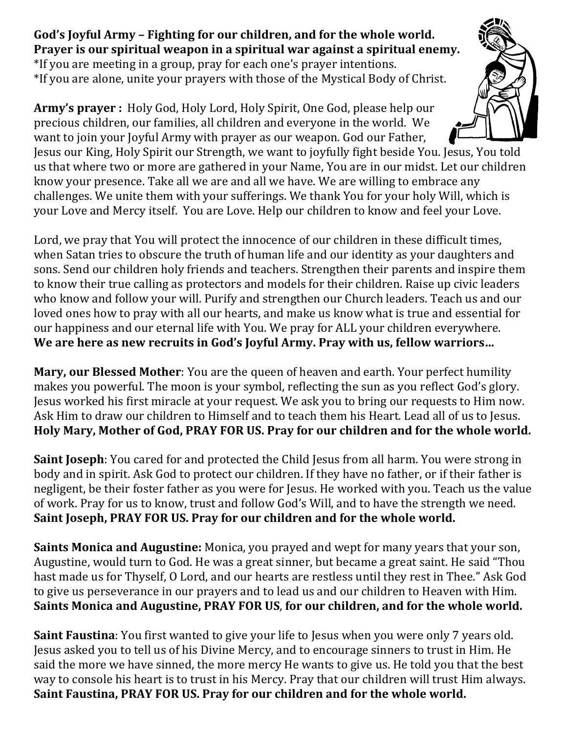God's Joyful Army – Fighting for our children, and for the whole world. **Prayer is our spiritual weapon in a spiritual war against a spiritual enemy.** \*If you are meeting in a group, pray for each one's prayer intentions. \*If you are alone, unite your prayers with those of the Mystical Body of Christ.

Army's prayer : Holy God, Holy Lord, Holy Spirit, One God, please help our precious children, our families, all children and everyone in the world. We want to join your Joyful Army with prayer as our weapon. God our Father,



Jesus our King, Holy Spirit our Strength, we want to joyfully fight beside You. Jesus, You told us that where two or more are gathered in your Name, You are in our midst. Let our children know your presence. Take all we are and all we have. We are willing to embrace any challenges. We unite them with your sufferings. We thank You for your holy Will, which is your Love and Mercy itself. You are Love. Help our children to know and feel your Love.

Lord, we pray that You will protect the innocence of our children in these difficult times, when Satan tries to obscure the truth of human life and our identity as your daughters and sons. Send our children holy friends and teachers. Strengthen their parents and inspire them to know their true calling as protectors and models for their children. Raise up civic leaders who know and follow your will. Purify and strengthen our Church leaders. Teach us and our loved ones how to pray with all our hearts, and make us know what is true and essential for our happiness and our eternal life with You. We pray for ALL your children everywhere. We are here as new recruits in God's Joyful Army. Pray with us, fellow warriors...

**Mary, our Blessed Mother**: You are the queen of heaven and earth. Your perfect humility makes you powerful. The moon is your symbol, reflecting the sun as you reflect God's glory. Jesus worked his first miracle at your request. We ask you to bring our requests to Him now. Ask Him to draw our children to Himself and to teach them his Heart. Lead all of us to Jesus. Holy Mary, Mother of God, PRAY FOR US. Pray for our children and for the whole world.

**Saint Joseph**: You cared for and protected the Child Jesus from all harm. You were strong in body and in spirit. Ask God to protect our children. If they have no father, or if their father is negligent, be their foster father as you were for Jesus. He worked with you. Teach us the value of work. Pray for us to know, trust and follow God's Will, and to have the strength we need. Saint Joseph, PRAY FOR US. Pray for our children and for the whole world.

**Saints Monica and Augustine:** Monica, you prayed and wept for many years that your son, Augustine, would turn to God. He was a great sinner, but became a great saint. He said "Thou hast made us for Thyself, O Lord, and our hearts are restless until they rest in Thee." Ask God to give us perseverance in our prayers and to lead us and our children to Heaven with Him. Saints Monica and Augustine, PRAY FOR US, for our children, and for the whole world.

**Saint Faustina**: You first wanted to give your life to Jesus when you were only 7 years old. Jesus asked you to tell us of his Divine Mercy, and to encourage sinners to trust in Him. He said the more we have sinned, the more mercy He wants to give us. He told you that the best way to console his heart is to trust in his Mercy. Pray that our children will trust Him always. Saint Faustina, PRAY FOR US. Pray for our children and for the whole world.